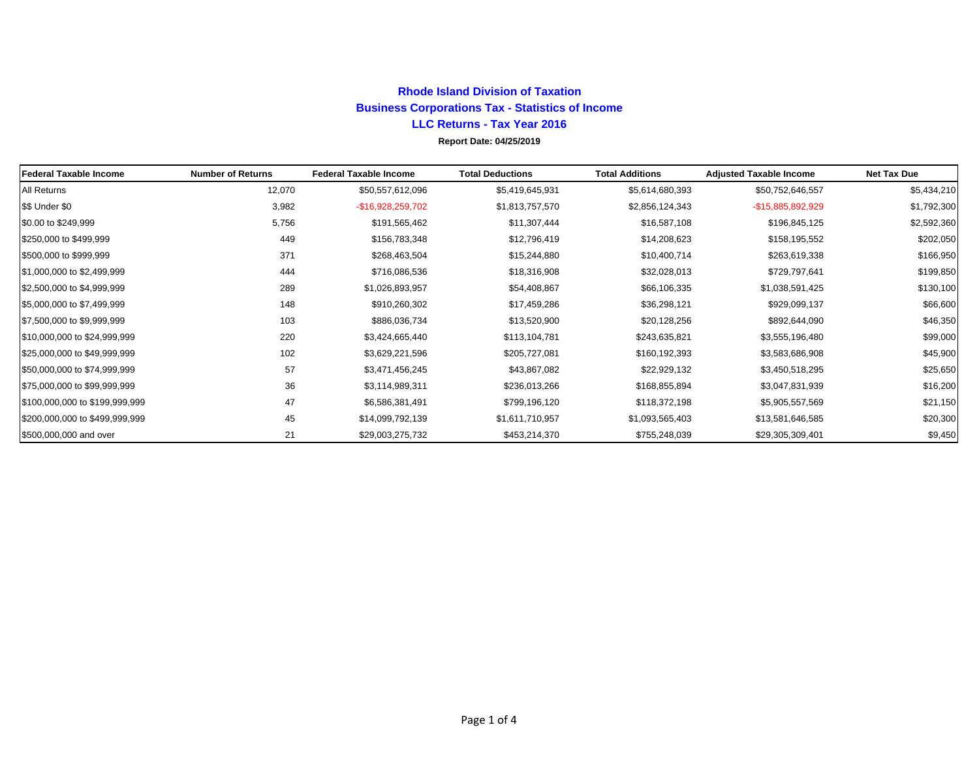## **Rhode Island Division of TaxationBusiness Corporations Tax - Statistics of Income LLC Returns - Tax Year 2016 Report Date: 04/25/2019**

| Federal Taxable Income         | <b>Number of Returns</b> | <b>Federal Taxable Income</b> | <b>Total Deductions</b> | <b>Total Additions</b> | <b>Adjusted Taxable Income</b> | <b>Net Tax Due</b> |
|--------------------------------|--------------------------|-------------------------------|-------------------------|------------------------|--------------------------------|--------------------|
| All Returns                    | 12,070                   | \$50,557,612,096              | \$5,419,645,931         | \$5,614,680,393        | \$50,752,646,557               | \$5,434,210        |
| \$\$ Under \$0                 | 3,982                    | -\$16,928,259,702             | \$1,813,757,570         | \$2,856,124,343        | -\$15,885,892,929              | \$1,792,300        |
| \$0.00 to \$249,999            | 5,756                    | \$191,565,462                 | \$11,307,444            | \$16,587,108           | \$196,845,125                  | \$2,592,360        |
| \$250,000 to \$499,999         | 449                      | \$156,783,348                 | \$12,796,419            | \$14,208,623           | \$158,195,552                  | \$202,050          |
| \$500,000 to \$999,999         | 371                      | \$268,463,504                 | \$15,244,880            | \$10,400,714           | \$263,619,338                  | \$166,950          |
| \$1,000,000 to \$2,499,999     | 444                      | \$716,086,536                 | \$18,316,908            | \$32,028,013           | \$729,797,641                  | \$199,850          |
| \$2,500,000 to \$4,999,999     | 289                      | \$1,026,893,957               | \$54,408,867            | \$66,106,335           | \$1,038,591,425                | \$130,100          |
| \$5,000,000 to \$7,499,999     | 148                      | \$910,260,302                 | \$17,459,286            | \$36,298,121           | \$929,099,137                  | \$66,600           |
| \$7,500,000 to \$9,999,999     | 103                      | \$886,036,734                 | \$13,520,900            | \$20,128,256           | \$892,644,090                  | \$46,350           |
| \$10,000,000 to \$24,999,999   | 220                      | \$3,424,665,440               | \$113,104,781           | \$243,635,821          | \$3,555,196,480                | \$99,000           |
| \$25,000,000 to \$49,999,999   | 102                      | \$3,629,221,596               | \$205,727,081           | \$160,192,393          | \$3,583,686,908                | \$45,900           |
| \$50,000,000 to \$74,999,999   | 57                       | \$3,471,456,245               | \$43,867,082            | \$22,929,132           | \$3,450,518,295                | \$25,650           |
| \$75,000,000 to \$99,999,999   | 36                       | \$3,114,989,311               | \$236,013,266           | \$168,855,894          | \$3,047,831,939                | \$16,200           |
| \$100,000,000 to \$199,999,999 | 47                       | \$6,586,381,491               | \$799,196,120           | \$118,372,198          | \$5,905,557,569                | \$21,150           |
| \$200,000,000 to \$499,999,999 | 45                       | \$14,099,792,139              | \$1,611,710,957         | \$1,093,565,403        | \$13,581,646,585               | \$20,300           |
| \$500,000,000 and over         | 21                       | \$29,003,275,732              | \$453,214,370           | \$755,248,039          | \$29,305,309,401               | \$9,450            |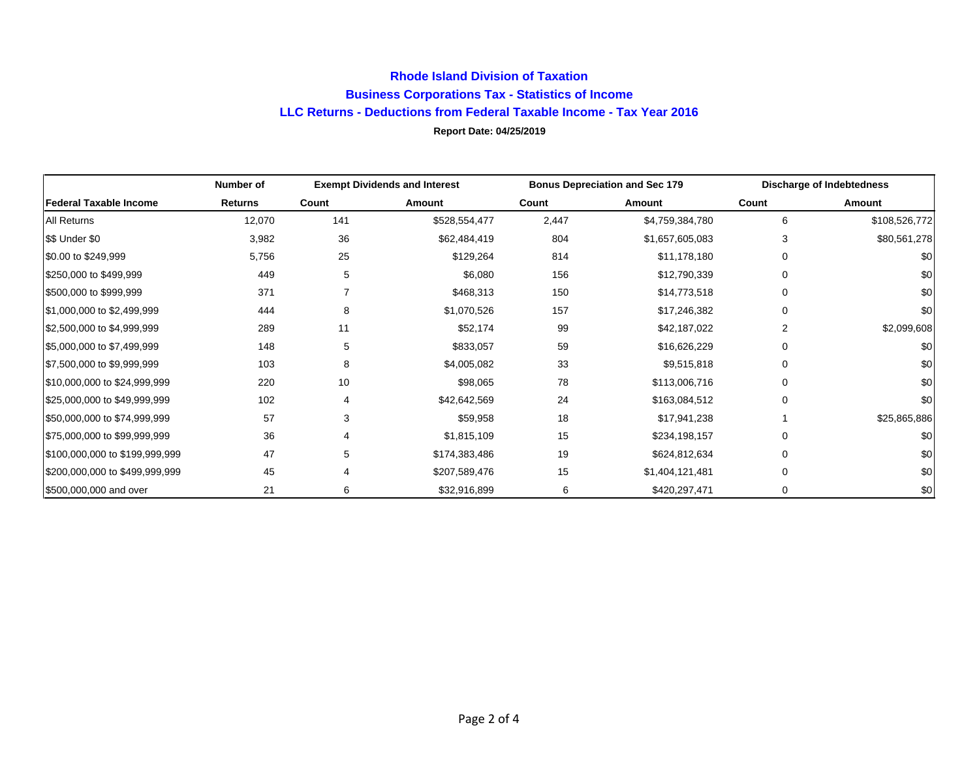## **Rhode Island Division of Taxation Business Corporations Tax - Statistics of Income LLC Returns - Deductions from Federal Taxable Income - Tax Year 2016 Report Date: 04/25/2019**

|                                | Number of | <b>Exempt Dividends and Interest</b> |               | <b>Bonus Depreciation and Sec 179</b> |                 | <b>Discharge of Indebtedness</b> |               |
|--------------------------------|-----------|--------------------------------------|---------------|---------------------------------------|-----------------|----------------------------------|---------------|
| <b>Federal Taxable Income</b>  | Returns   | Count                                | Amount        | Count                                 | Amount          | Count                            | Amount        |
| <b>All Returns</b>             | 12,070    | 141                                  | \$528,554,477 | 2,447                                 | \$4,759,384,780 | 6                                | \$108,526,772 |
| \$\$ Under \$0                 | 3,982     | 36                                   | \$62,484,419  | 804                                   | \$1,657,605,083 | 3                                | \$80,561,278  |
| \$0.00 to \$249,999            | 5,756     | 25                                   | \$129,264     | 814                                   | \$11,178,180    | 0                                | \$0           |
| \$250,000 to \$499,999         | 449       | 5                                    | \$6,080       | 156                                   | \$12,790,339    | 0                                | \$0           |
| \$500,000 to \$999,999         | 371       |                                      | \$468,313     | 150                                   | \$14,773,518    | 0                                | \$0           |
| \$1,000,000 to \$2,499,999     | 444       | 8                                    | \$1,070,526   | 157                                   | \$17,246,382    | 0                                | \$0           |
| \$2,500,000 to \$4,999,999     | 289       | 11                                   | \$52,174      | 99                                    | \$42,187,022    | 2                                | \$2,099,608   |
| \$5,000,000 to \$7,499,999     | 148       | 5                                    | \$833,057     | 59                                    | \$16,626,229    | 0                                | \$0           |
| \$7,500,000 to \$9,999,999     | 103       | 8                                    | \$4,005,082   | 33                                    | \$9,515,818     | 0                                | \$0           |
| \$10,000,000 to \$24,999,999   | 220       | 10                                   | \$98,065      | 78                                    | \$113,006,716   | 0                                | \$0           |
| \$25,000,000 to \$49,999,999   | 102       | 4                                    | \$42,642,569  | 24                                    | \$163,084,512   | 0                                | \$0           |
| \$50,000,000 to \$74,999,999   | 57        | 3                                    | \$59,958      | 18                                    | \$17,941,238    |                                  | \$25,865,886  |
| \$75,000,000 to \$99,999,999   | 36        | 4                                    | \$1,815,109   | 15                                    | \$234,198,157   | 0                                | \$0           |
| \$100,000,000 to \$199,999,999 | 47        | 5                                    | \$174,383,486 | 19                                    | \$624,812,634   | 0                                | \$0           |
| \$200,000,000 to \$499,999,999 | 45        | 4                                    | \$207,589,476 | 15                                    | \$1,404,121,481 | 0                                | \$0           |
| \$500,000,000 and over         | 21        | 6                                    | \$32,916,899  | 6                                     | \$420,297,471   | 0                                | \$0           |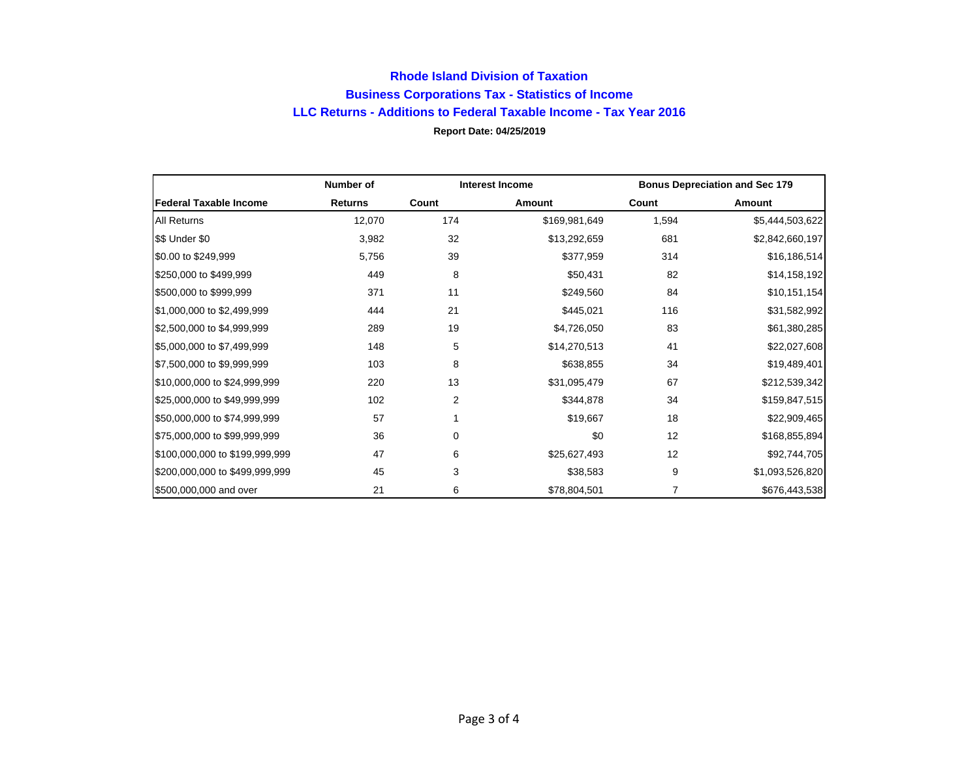## **Rhode Island Division of Taxation Business Corporations Tax - Statistics of Income LLC Returns - Additions to Federal Taxable Income - Tax Year 2016 Report Date: 04/25/2019**

|                                | Number of      | <b>Interest Income</b> |               |       | <b>Bonus Depreciation and Sec 179</b> |
|--------------------------------|----------------|------------------------|---------------|-------|---------------------------------------|
| <b>Federal Taxable Income</b>  | <b>Returns</b> | Count                  | Amount        | Count | Amount                                |
| <b>All Returns</b>             | 12,070         | 174                    | \$169,981,649 | 1,594 | \$5,444,503,622                       |
| \$\$ Under \$0                 | 3,982          | 32                     | \$13,292,659  | 681   | \$2,842,660,197                       |
| \$0.00 to \$249,999            | 5,756          | 39                     | \$377,959     | 314   | \$16,186,514                          |
| \$250,000 to \$499,999         | 449            | 8                      | \$50,431      | 82    | \$14,158,192                          |
| \$500,000 to \$999,999         | 371            | 11                     | \$249,560     | 84    | \$10,151,154                          |
| \$1,000,000 to \$2,499,999     | 444            | 21                     | \$445,021     | 116   | \$31,582,992                          |
| \$2,500,000 to \$4,999,999     | 289            | 19                     | \$4,726,050   | 83    | \$61,380,285                          |
| \$5,000,000 to \$7,499,999     | 148            | 5                      | \$14,270,513  | 41    | \$22,027,608                          |
| \$7,500,000 to \$9,999,999     | 103            | 8                      | \$638,855     | 34    | \$19,489,401                          |
| \$10,000,000 to \$24,999,999   | 220            | 13                     | \$31,095,479  | 67    | \$212,539,342                         |
| \$25,000,000 to \$49,999,999   | 102            | 2                      | \$344,878     | 34    | \$159,847,515                         |
| \$50,000,000 to \$74,999,999   | 57             |                        | \$19,667      | 18    | \$22,909,465                          |
| \$75,000,000 to \$99,999,999   | 36             | 0                      | \$0           | 12    | \$168,855,894                         |
| \$100,000,000 to \$199,999,999 | 47             | 6                      | \$25,627,493  | 12    | \$92,744,705                          |
| \$200,000,000 to \$499,999,999 | 45             | 3                      | \$38,583      | 9     | \$1,093,526,820                       |
| \$500,000,000 and over         | 21             | 6                      | \$78,804,501  | 7     | \$676,443,538                         |